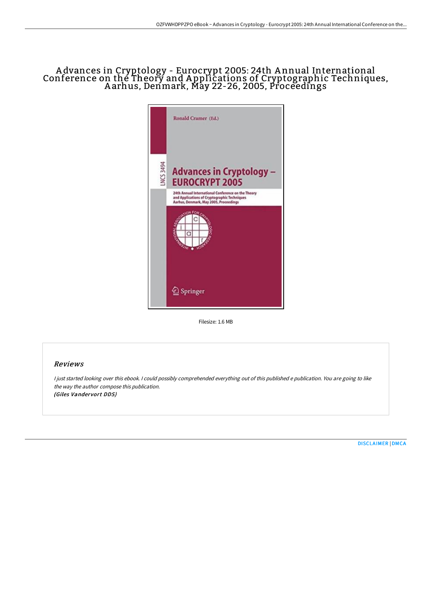## A dvances in Cryptology - Eurocrypt 2005: 24th A nnual International Conference on the Theory and A pplications of Cryptographic Techniques, A arhus, Denmark, May 22-26, 2005, Proceedings



Filesize: 1.6 MB

## Reviews

<sup>I</sup> just started looking over this ebook. <sup>I</sup> could possibly comprehended everything out of this published <sup>e</sup> publication. You are going to like the way the author compose this publication. (Giles Vandervort DDS)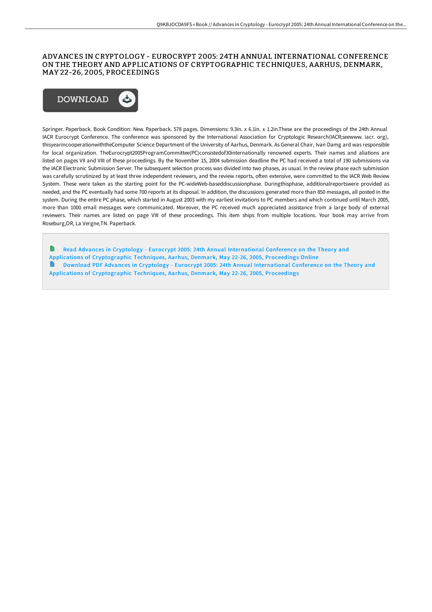## ADVANCES IN CRYPTOLOGY - EUROCRYPT 2005: 24TH ANNUAL INTERNATIONAL CONFERENCE ON THE THEORY AND APPLICATIONS OF CRYPTOGRAPHIC TECHNIQUES, AARHUS, DENMARK, MAY 22-26, 2005, PROCEEDINGS



Springer. Paperback. Book Condition: New. Paperback. 578 pages. Dimensions: 9.3in. x 6.1in. x 1.2in.These are the proceedings of the 24th Annual IACR Eurocrypt Conference. The conference was sponsored by the International Association for Cryptologic Research(IACR;seewww. iacr. org), thisyearincooperationwiththeComputer Science Department of the University of Aarhus, Denmark. As General Chair, Ivan Damg ard was responsible for local organization. TheEurocrypt2005ProgramCommittee(PC)consistedof30internationally renowned experts. Their names and aliations are listed on pages VII and VIII of these proceedings. By the November 15, 2004 submission deadline the PC had received a total of 190 submissions via the IACR Electronic Submission Server. The subsequent selection process was divided into two phases, as usual. In the review phase each submission was carefully scrutinized by at least three independent reviewers, and the review reports, often extensive, were committed to the IACR Web Review System. These were taken as the starting point for the PC-wideWeb-baseddiscussionphase. Duringthisphase, additionalreportswere provided as needed, and the PC eventually had some 700 reports at its disposal. In addition, the discussions generated more than 850 messages, all posted in the system. During the entire PC phase, which started in August 2003 with my earliest invitations to PC members and which continued until March 2005, more than 1000 email messages were communicated. Moreover, the PC received much appreciated assistance from a large body of external reviewers. Their names are listed on page VIII of these proceedings. This item ships from multiple locations. Your book may arrive from Roseburg,OR, La Vergne,TN. Paperback.

Read Advances in Cryptology - Eurocrypt 2005: 24th Annual [International](http://bookera.tech/advances-in-cryptology-eurocrypt-2005-24th-annua.html) Conference on the Theory and Applications of Cryptographic Techniques, Aarhus, Denmark, May 22-26, 2005, Proceedings Online e Download PDF Advances in Cryptology - Eurocrypt 2005: 24th Annual [International](http://bookera.tech/advances-in-cryptology-eurocrypt-2005-24th-annua.html) Conference on the Theory and Applications of Cryptographic Techniques, Aarhus, Denmark, May 22-26, 2005, Proceedings